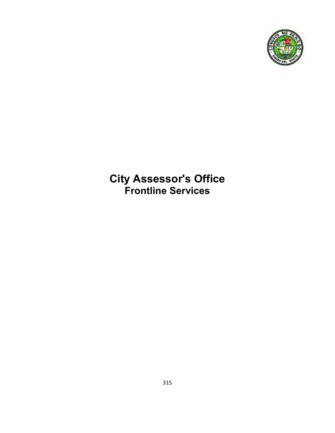

# **City Assessor's Office Frontline Services**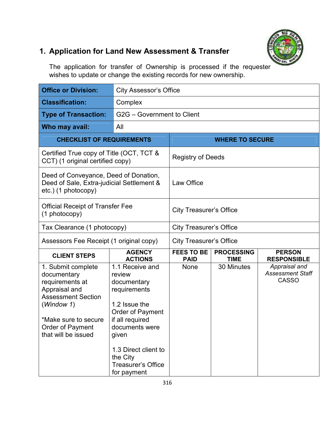

## **1. Application for Land New Assessment & Transfer**

The application for transfer of Ownership is processed if the requester wishes to update or change the existing records for new ownership.

| <b>Office or Division:</b>                                                                                                                                                          |                                                                                                                                                                                                                                    | <b>City Assessor's Office</b>    |                                  |                                                          |  |
|-------------------------------------------------------------------------------------------------------------------------------------------------------------------------------------|------------------------------------------------------------------------------------------------------------------------------------------------------------------------------------------------------------------------------------|----------------------------------|----------------------------------|----------------------------------------------------------|--|
| <b>Classification:</b>                                                                                                                                                              | Complex                                                                                                                                                                                                                            |                                  |                                  |                                                          |  |
| <b>Type of Transaction:</b>                                                                                                                                                         | G2G - Government to Client                                                                                                                                                                                                         |                                  |                                  |                                                          |  |
| Who may avail:                                                                                                                                                                      | All                                                                                                                                                                                                                                |                                  |                                  |                                                          |  |
|                                                                                                                                                                                     |                                                                                                                                                                                                                                    |                                  |                                  |                                                          |  |
| <b>CHECKLIST OF REQUIREMENTS</b>                                                                                                                                                    |                                                                                                                                                                                                                                    |                                  | <b>WHERE TO SECURE</b>           |                                                          |  |
| Certified True copy of Title (OCT, TCT &<br>CCT) (1 original certified copy)                                                                                                        |                                                                                                                                                                                                                                    | <b>Registry of Deeds</b>         |                                  |                                                          |  |
| Deed of Conveyance, Deed of Donation,<br>Deed of Sale, Extra-judicial Settlement &<br>etc.) (1 photocopy)                                                                           |                                                                                                                                                                                                                                    | Law Office                       |                                  |                                                          |  |
| <b>Official Receipt of Transfer Fee</b><br>(1 photocopy)                                                                                                                            |                                                                                                                                                                                                                                    | <b>City Treasurer's Office</b>   |                                  |                                                          |  |
| Tax Clearance (1 photocopy)                                                                                                                                                         |                                                                                                                                                                                                                                    |                                  | <b>City Treasurer's Office</b>   |                                                          |  |
| Assessors Fee Receipt (1 original copy)                                                                                                                                             |                                                                                                                                                                                                                                    | <b>City Treasurer's Office</b>   |                                  |                                                          |  |
| <b>CLIENT STEPS</b>                                                                                                                                                                 | <b>AGENCY</b><br><b>ACTIONS</b>                                                                                                                                                                                                    | <b>FEES TO BE</b><br><b>PAID</b> | <b>PROCESSING</b><br><b>TIME</b> | <b>PERSON</b><br><b>RESPONSIBLE</b>                      |  |
| 1. Submit complete<br>documentary<br>requirements at<br>Appraisal and<br><b>Assessment Section</b><br>(Window 1)<br>*Make sure to secure<br>Order of Payment<br>that will be issued | 1.1 Receive and<br>review<br>documentary<br>requirements<br>1.2 Issue the<br><b>Order of Payment</b><br>if all required<br>documents were<br>given<br>1.3 Direct client to<br>the City<br><b>Treasurer's Office</b><br>for payment | None                             | 30 Minutes                       | Appraisal and<br><b>Assessment Staff</b><br><b>CASSO</b> |  |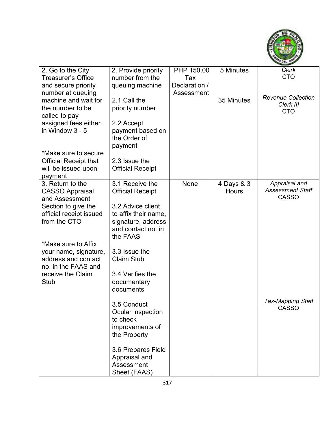

| 2. Go to the City                       | 2. Provide priority                      | PHP 150.00    | 5 Minutes    | Clerk                                   |
|-----------------------------------------|------------------------------------------|---------------|--------------|-----------------------------------------|
| <b>Treasurer's Office</b>               | number from the                          | Tax           |              | <b>CTO</b>                              |
| and secure priority                     | queuing machine                          | Declaration / |              |                                         |
| number at queuing                       |                                          | Assessment    |              |                                         |
| machine and wait for                    | 2.1 Call the                             |               | 35 Minutes   | <b>Revenue Collection</b>               |
| the number to be                        | priority number                          |               |              | Clerk III<br><b>CTO</b>                 |
| called to pay                           |                                          |               |              |                                         |
| assigned fees either                    | 2.2 Accept                               |               |              |                                         |
| in Window 3 - 5                         | payment based on                         |               |              |                                         |
|                                         | the Order of                             |               |              |                                         |
|                                         | payment                                  |               |              |                                         |
| *Make sure to secure                    |                                          |               |              |                                         |
| <b>Official Receipt that</b>            | 2.3 Issue the                            |               |              |                                         |
| will be issued upon                     | <b>Official Receipt</b>                  |               |              |                                         |
| payment                                 |                                          |               |              |                                         |
| 3. Return to the                        | 3.1 Receive the                          | None          | 4 Days & 3   | Appraisal and                           |
| <b>CASSO Appraisal</b>                  | <b>Official Receipt</b>                  |               | <b>Hours</b> | <b>Assessment Staff</b><br><b>CASSO</b> |
| and Assessment                          |                                          |               |              |                                         |
| Section to give the                     | 3.2 Advice client                        |               |              |                                         |
| official receipt issued<br>from the CTO | to affix their name,                     |               |              |                                         |
|                                         | signature, address<br>and contact no. in |               |              |                                         |
|                                         | the FAAS                                 |               |              |                                         |
| *Make sure to Affix                     |                                          |               |              |                                         |
| your name, signature,                   | 3.3 Issue the                            |               |              |                                         |
| address and contact                     | <b>Claim Stub</b>                        |               |              |                                         |
| no. in the FAAS and                     |                                          |               |              |                                         |
| receive the Claim                       | 3.4 Verifies the                         |               |              |                                         |
| <b>Stub</b>                             | documentary                              |               |              |                                         |
|                                         | documents                                |               |              |                                         |
|                                         |                                          |               |              |                                         |
|                                         | 3.5 Conduct                              |               |              | <b>Tax-Mapping Staff</b>                |
|                                         | Ocular inspection                        |               |              | <b>CASSO</b>                            |
|                                         | to check                                 |               |              |                                         |
|                                         | improvements of                          |               |              |                                         |
|                                         | the Property                             |               |              |                                         |
|                                         |                                          |               |              |                                         |
|                                         | 3.6 Prepares Field                       |               |              |                                         |
|                                         | Appraisal and                            |               |              |                                         |
|                                         | Assessment                               |               |              |                                         |
|                                         | Sheet (FAAS)                             |               |              |                                         |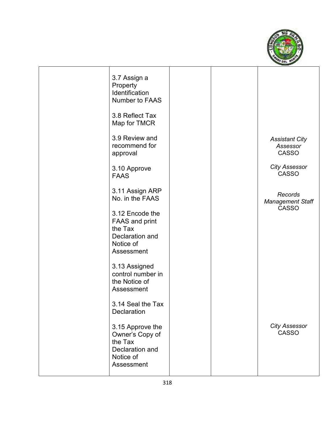

| 3.7 Assign a<br>Property<br>Identification<br><b>Number to FAAS</b>                               |  |                                                    |
|---------------------------------------------------------------------------------------------------|--|----------------------------------------------------|
| 3.8 Reflect Tax<br>Map for TMCR                                                                   |  |                                                    |
| 3.9 Review and<br>recommend for<br>approval                                                       |  | <b>Assistant City</b><br>Assessor<br><b>CASSO</b>  |
| 3.10 Approve<br><b>FAAS</b>                                                                       |  | <b>City Assessor</b><br><b>CASSO</b>               |
| 3.11 Assign ARP<br>No. in the FAAS                                                                |  | Records<br><b>Management Staff</b><br><b>CASSO</b> |
| 3.12 Encode the<br><b>FAAS and print</b><br>the Tax<br>Declaration and<br>Notice of<br>Assessment |  |                                                    |
| 3.13 Assigned<br>control number in<br>the Notice of<br>Assessment                                 |  |                                                    |
| 3.14 Seal the Tax<br>Declaration                                                                  |  |                                                    |
| 3.15 Approve the<br>Owner's Copy of<br>the Tax<br>Declaration and<br>Notice of<br>Assessment      |  | <b>City Assessor</b><br><b>CASSO</b>               |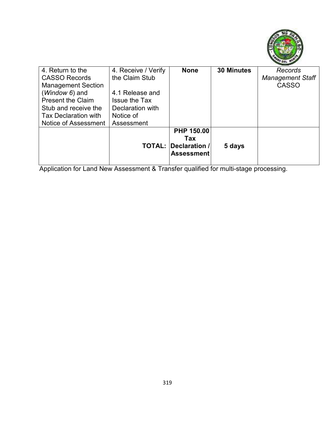

| 4. Return to the            | 4. Receive / Verify  | <b>None</b>       | <b>30 Minutes</b> | Records                 |
|-----------------------------|----------------------|-------------------|-------------------|-------------------------|
| <b>CASSO Records</b>        | the Claim Stub       |                   |                   | <b>Management Staff</b> |
| <b>Management Section</b>   |                      |                   |                   | <b>CASSO</b>            |
| ( <i>Window 6</i> ) and     | 4.1 Release and      |                   |                   |                         |
| <b>Present the Claim</b>    | <b>Issue the Tax</b> |                   |                   |                         |
| Stub and receive the        | Declaration with     |                   |                   |                         |
| <b>Tax Declaration with</b> | Notice of            |                   |                   |                         |
| Notice of Assessment        | Assessment           |                   |                   |                         |
|                             |                      | PHP 150.00        |                   |                         |
|                             |                      | Tax               |                   |                         |
|                             | <b>TOTAL:</b>        | Declaration /     | 5 days            |                         |
|                             |                      | <b>Assessment</b> |                   |                         |
|                             |                      |                   |                   |                         |

Application for Land New Assessment & Transfer qualified for multi-stage processing.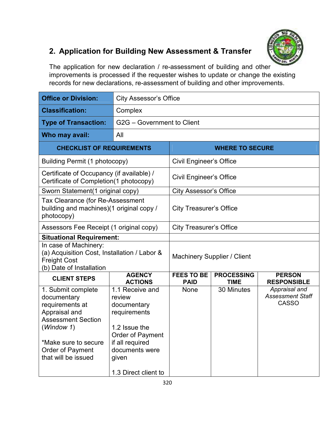

## **2. Application for Building New Assessment & Transfer**

The application for new declaration / re-assessment of building and other improvements is processed if the requester wishes to update or change the existing records for new declarations, re-assessment of building and other improvements.

| <b>Office or Division:</b>                                                                                                                                                          | <b>City Assessor's Office</b>                                                                                                                                       |                                  |                                  |                                                          |
|-------------------------------------------------------------------------------------------------------------------------------------------------------------------------------------|---------------------------------------------------------------------------------------------------------------------------------------------------------------------|----------------------------------|----------------------------------|----------------------------------------------------------|
| <b>Classification:</b>                                                                                                                                                              | Complex                                                                                                                                                             |                                  |                                  |                                                          |
| <b>Type of Transaction:</b>                                                                                                                                                         | G2G - Government to Client                                                                                                                                          |                                  |                                  |                                                          |
| Who may avail:                                                                                                                                                                      | All                                                                                                                                                                 |                                  |                                  |                                                          |
| <b>CHECKLIST OF REQUIREMENTS</b>                                                                                                                                                    |                                                                                                                                                                     |                                  | <b>WHERE TO SECURE</b>           |                                                          |
| Building Permit (1 photocopy)                                                                                                                                                       |                                                                                                                                                                     | <b>Civil Engineer's Office</b>   |                                  |                                                          |
| Certificate of Occupancy (if available) /<br>Certificate of Completion(1 photocopy)                                                                                                 |                                                                                                                                                                     | <b>Civil Engineer's Office</b>   |                                  |                                                          |
| Sworn Statement(1 original copy)                                                                                                                                                    |                                                                                                                                                                     | <b>City Assessor's Office</b>    |                                  |                                                          |
| Tax Clearance (for Re-Assessment<br>building and machines)(1 original copy /<br>photocopy)                                                                                          |                                                                                                                                                                     | <b>City Treasurer's Office</b>   |                                  |                                                          |
| Assessors Fee Receipt (1 original copy)                                                                                                                                             |                                                                                                                                                                     | <b>City Treasurer's Office</b>   |                                  |                                                          |
| <b>Situational Requirement:</b>                                                                                                                                                     |                                                                                                                                                                     |                                  |                                  |                                                          |
| In case of Machinery:<br>(a) Acquisition Cost, Installation / Labor &<br><b>Freight Cost</b><br>(b) Date of Installation                                                            |                                                                                                                                                                     | Machinery Supplier / Client      |                                  |                                                          |
| <b>CLIENT STEPS</b>                                                                                                                                                                 | <b>AGENCY</b><br><b>ACTIONS</b>                                                                                                                                     | <b>FEES TO BE</b><br><b>PAID</b> | <b>PROCESSING</b><br><b>TIME</b> | <b>PERSON</b><br><b>RESPONSIBLE</b>                      |
| 1. Submit complete<br>documentary<br>requirements at<br>Appraisal and<br><b>Assessment Section</b><br>(Window 1)<br>*Make sure to secure<br>Order of Payment<br>that will be issued | 1.1 Receive and<br>review<br>documentary<br>requirements<br>1.2 Issue the<br>Order of Payment<br>if all required<br>documents were<br>given<br>1.3 Direct client to | <b>None</b>                      | 30 Minutes                       | Appraisal and<br><b>Assessment Staff</b><br><b>CASSO</b> |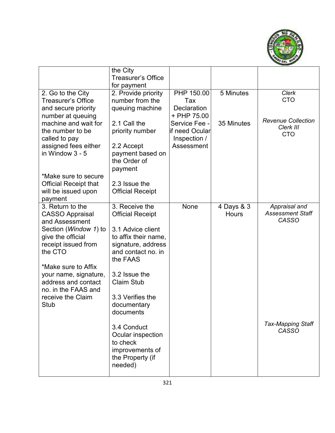

|                                | the City                            |                    |              |                           |
|--------------------------------|-------------------------------------|--------------------|--------------|---------------------------|
|                                | <b>Treasurer's Office</b>           |                    |              |                           |
|                                | for payment                         |                    |              |                           |
| 2. Go to the City              | 2. Provide priority                 | PHP 150.00         | 5 Minutes    | <b>Clerk</b>              |
| <b>Treasurer's Office</b>      | number from the                     | Tax                |              | <b>CTO</b>                |
| and secure priority            | queuing machine                     | <b>Declaration</b> |              |                           |
| number at queuing              |                                     | + PHP 75.00        |              |                           |
| machine and wait for           | 2.1 Call the                        | Service Fee -      | 35 Minutes   | <b>Revenue Collection</b> |
| the number to be               | priority number                     | lif need Ocular    |              | Clerk III                 |
| called to pay                  |                                     | Inspection /       |              | <b>CTO</b>                |
| assigned fees either           | 2.2 Accept                          | Assessment         |              |                           |
| in Window $3 - 5$              | payment based on                    |                    |              |                           |
|                                | the Order of                        |                    |              |                           |
|                                | payment                             |                    |              |                           |
| *Make sure to secure           |                                     |                    |              |                           |
| <b>Official Receipt that</b>   | 2.3 Issue the                       |                    |              |                           |
| will be issued upon            | <b>Official Receipt</b>             |                    |              |                           |
| payment                        |                                     |                    |              |                           |
| 3. Return to the               | 3. Receive the                      | None               | 4 Days & 3   | Appraisal and             |
| <b>CASSO Appraisal</b>         | <b>Official Receipt</b>             |                    | <b>Hours</b> | <b>Assessment Staff</b>   |
| and Assessment                 |                                     |                    |              | CASSO                     |
| Section ( <i>Window 1</i> ) to | 3.1 Advice client                   |                    |              |                           |
| give the official              | to affix their name,                |                    |              |                           |
| receipt issued from            | signature, address                  |                    |              |                           |
| the CTO                        | and contact no. in                  |                    |              |                           |
|                                | the FAAS                            |                    |              |                           |
| *Make sure to Affix            |                                     |                    |              |                           |
| your name, signature,          | 3.2 Issue the                       |                    |              |                           |
| address and contact            | <b>Claim Stub</b>                   |                    |              |                           |
| no. in the FAAS and            |                                     |                    |              |                           |
| receive the Claim              | 3.3 Verifies the                    |                    |              |                           |
| <b>Stub</b>                    | documentary                         |                    |              |                           |
|                                | documents                           |                    |              |                           |
|                                |                                     |                    |              | <b>Tax-Mapping Staff</b>  |
|                                | 3.4 Conduct                         |                    |              | <b>CASSO</b>              |
|                                | Ocular inspection<br>to check       |                    |              |                           |
|                                |                                     |                    |              |                           |
|                                | improvements of<br>the Property (if |                    |              |                           |
|                                | needed)                             |                    |              |                           |
|                                |                                     |                    |              |                           |
|                                |                                     |                    |              |                           |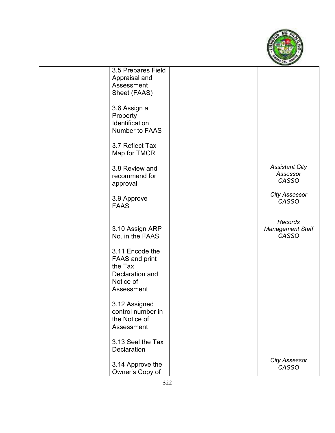

| 3.5 Prepares Field    |  |                         |
|-----------------------|--|-------------------------|
| Appraisal and         |  |                         |
| Assessment            |  |                         |
| Sheet (FAAS)          |  |                         |
|                       |  |                         |
| 3.6 Assign a          |  |                         |
| Property              |  |                         |
| Identification        |  |                         |
| Number to FAAS        |  |                         |
|                       |  |                         |
| 3.7 Reflect Tax       |  |                         |
| Map for TMCR          |  |                         |
|                       |  |                         |
| 3.8 Review and        |  | <b>Assistant City</b>   |
| recommend for         |  | Assessor<br>CASSO       |
| approval              |  |                         |
|                       |  | <b>City Assessor</b>    |
| 3.9 Approve           |  | CASSO                   |
| <b>FAAS</b>           |  |                         |
|                       |  |                         |
|                       |  | Records                 |
| 3.10 Assign ARP       |  | <b>Management Staff</b> |
| No. in the FAAS       |  | CASSO                   |
|                       |  |                         |
| 3.11 Encode the       |  |                         |
| <b>FAAS and print</b> |  |                         |
| the Tax               |  |                         |
| Declaration and       |  |                         |
| Notice of             |  |                         |
| Assessment            |  |                         |
|                       |  |                         |
| 3.12 Assigned         |  |                         |
| control number in     |  |                         |
| the Notice of         |  |                         |
| Assessment            |  |                         |
| 3.13 Seal the Tax     |  |                         |
| Declaration           |  |                         |
|                       |  |                         |
| 3.14 Approve the      |  | <b>City Assessor</b>    |
| Owner's Copy of       |  | CASSO                   |
|                       |  |                         |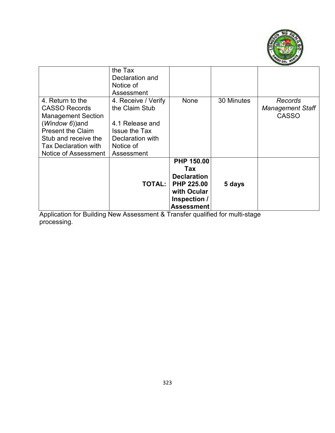

|                                                                                                                                                                                                     | the Tax<br>Declaration and<br>Notice of<br>Assessment                                                                           |                                                                                                                         |            |                                                    |
|-----------------------------------------------------------------------------------------------------------------------------------------------------------------------------------------------------|---------------------------------------------------------------------------------------------------------------------------------|-------------------------------------------------------------------------------------------------------------------------|------------|----------------------------------------------------|
| 4. Return to the<br><b>CASSO Records</b><br><b>Management Section</b><br>(Window 6)) and<br><b>Present the Claim</b><br>Stub and receive the<br><b>Tax Declaration with</b><br>Notice of Assessment | 4. Receive / Verify<br>the Claim Stub<br>4.1 Release and<br><b>Issue the Tax</b><br>Declaration with<br>Notice of<br>Assessment | None                                                                                                                    | 30 Minutes | Records<br><b>Management Staff</b><br><b>CASSO</b> |
|                                                                                                                                                                                                     | TOTAL:                                                                                                                          | <b>PHP 150.00</b><br>Tax<br><b>Declaration</b><br><b>PHP 225.00</b><br>with Ocular<br>Inspection /<br><b>Assessment</b> | 5 days     |                                                    |

Application for Building New Assessment & Transfer qualified for multi-stage processing.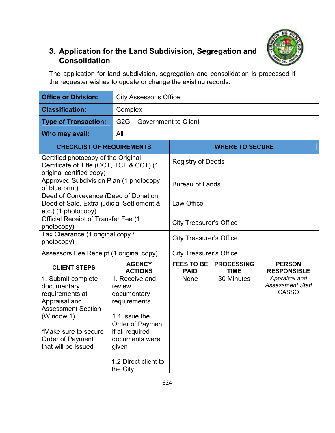

## **3. Application for the Land Subdivision, Segregation and Consolidation**

The application for land subdivision, segregation and consolidation is processed if the requester wishes to update or change the existing records.

| <b>Office or Division:</b>                                                                                                                                                          | <b>City Assessor's Office</b>                                                                                                                                                  |                                  |                                  |                                                          |
|-------------------------------------------------------------------------------------------------------------------------------------------------------------------------------------|--------------------------------------------------------------------------------------------------------------------------------------------------------------------------------|----------------------------------|----------------------------------|----------------------------------------------------------|
| <b>Classification:</b>                                                                                                                                                              | Complex                                                                                                                                                                        |                                  |                                  |                                                          |
| <b>Type of Transaction:</b>                                                                                                                                                         | G2G - Government to Client                                                                                                                                                     |                                  |                                  |                                                          |
| Who may avail:                                                                                                                                                                      | All                                                                                                                                                                            |                                  |                                  |                                                          |
| <b>CHECKLIST OF REQUIREMENTS</b>                                                                                                                                                    |                                                                                                                                                                                |                                  | <b>WHERE TO SECURE</b>           |                                                          |
| original certified copy)                                                                                                                                                            | Certified photocopy of the Original<br>Certificate of Title (OCT, TCT & CCT) (1                                                                                                |                                  | <b>Registry of Deeds</b>         |                                                          |
| Approved Subdivision Plan (1 photocopy<br>of blue print)                                                                                                                            |                                                                                                                                                                                | <b>Bureau of Lands</b>           |                                  |                                                          |
| etc.) (1 photocopy)                                                                                                                                                                 | Deed of Conveyance (Deed of Donation,<br>Deed of Sale, Extra-judicial Settlement &                                                                                             |                                  |                                  |                                                          |
| <b>Official Receipt of Transfer Fee (1</b><br>photocopy)                                                                                                                            |                                                                                                                                                                                | <b>City Treasurer's Office</b>   |                                  |                                                          |
| Tax Clearance (1 original copy /<br>photocopy)                                                                                                                                      |                                                                                                                                                                                | <b>City Treasurer's Office</b>   |                                  |                                                          |
| Assessors Fee Receipt (1 original copy)                                                                                                                                             |                                                                                                                                                                                | <b>City Treasurer's Office</b>   |                                  |                                                          |
| <b>CLIENT STEPS</b>                                                                                                                                                                 | <b>AGENCY</b><br><b>ACTIONS</b>                                                                                                                                                | <b>FEES TO BE</b><br><b>PAID</b> | <b>PROCESSING</b><br><b>TIME</b> | <b>PERSON</b><br><b>RESPONSIBLE</b>                      |
| 1. Submit complete<br>documentary<br>requirements at<br>Appraisal and<br><b>Assessment Section</b><br>(Window 1)<br>*Make sure to secure<br>Order of Payment<br>that will be issued | 1. Receive and<br>review<br>documentary<br>requirements<br>1.1 Issue the<br>Order of Payment<br>if all required<br>documents were<br>given<br>1.2 Direct client to<br>the City | None                             | 30 Minutes                       | Appraisal and<br><b>Assessment Staff</b><br><b>CASSO</b> |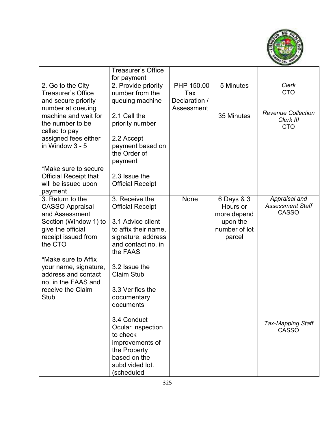

|                                          | <b>Treasurer's Office</b> |               |                         |                                          |
|------------------------------------------|---------------------------|---------------|-------------------------|------------------------------------------|
|                                          | for payment               |               |                         |                                          |
| 2. Go to the City                        | 2. Provide priority       | PHP 150.00    | 5 Minutes               | <b>Clerk</b>                             |
| <b>Treasurer's Office</b>                | number from the           | Tax           |                         | <b>CTO</b>                               |
| and secure priority                      | queuing machine           | Declaration / |                         |                                          |
| number at queuing                        |                           | Assessment    |                         |                                          |
| machine and wait for                     | 2.1 Call the              |               | 35 Minutes              | <b>Revenue Collection</b><br>Clerk III   |
| the number to be                         | priority number           |               |                         | <b>CTO</b>                               |
| called to pay                            |                           |               |                         |                                          |
| assigned fees either                     | 2.2 Accept                |               |                         |                                          |
| in Window 3 - 5                          | payment based on          |               |                         |                                          |
|                                          | the Order of              |               |                         |                                          |
|                                          | payment                   |               |                         |                                          |
| *Make sure to secure                     |                           |               |                         |                                          |
| <b>Official Receipt that</b>             | 2.3 Issue the             |               |                         |                                          |
| will be issued upon                      | <b>Official Receipt</b>   |               |                         |                                          |
| payment                                  |                           |               |                         |                                          |
| 3. Return to the                         | 3. Receive the            | None          | 6 Days & 3              | Appraisal and<br><b>Assessment Staff</b> |
| <b>CASSO Appraisal</b><br>and Assessment | <b>Official Receipt</b>   |               | Hours or                | <b>CASSO</b>                             |
| Section (Window 1) to                    | 3.1 Advice client         |               | more depend<br>upon the |                                          |
| give the official                        | to affix their name,      |               | number of lot           |                                          |
| receipt issued from                      | signature, address        |               | parcel                  |                                          |
| the CTO                                  | and contact no. in        |               |                         |                                          |
|                                          | the FAAS                  |               |                         |                                          |
| *Make sure to Affix                      |                           |               |                         |                                          |
| your name, signature,                    | 3.2 Issue the             |               |                         |                                          |
| address and contact                      | <b>Claim Stub</b>         |               |                         |                                          |
| no. in the FAAS and                      |                           |               |                         |                                          |
| receive the Claim                        | 3.3 Verifies the          |               |                         |                                          |
| Stub                                     | documentary               |               |                         |                                          |
|                                          | documents                 |               |                         |                                          |
|                                          |                           |               |                         |                                          |
|                                          | 3.4 Conduct               |               |                         |                                          |
|                                          | Ocular inspection         |               |                         | <b>Tax-Mapping Staff</b><br><b>CASSO</b> |
|                                          | to check                  |               |                         |                                          |
|                                          | improvements of           |               |                         |                                          |
|                                          | the Property              |               |                         |                                          |
|                                          | based on the              |               |                         |                                          |
|                                          | subdivided lot.           |               |                         |                                          |
|                                          | (scheduled                |               |                         |                                          |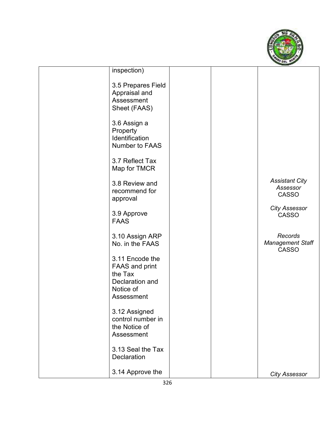

| inspection)                                                       |  |                                                    |
|-------------------------------------------------------------------|--|----------------------------------------------------|
| 3.5 Prepares Field<br>Appraisal and<br>Assessment<br>Sheet (FAAS) |  |                                                    |
| 3.6 Assign a<br>Property<br>Identification<br>Number to FAAS      |  |                                                    |
| 3.7 Reflect Tax<br>Map for TMCR                                   |  |                                                    |
| 3.8 Review and<br>recommend for<br>approval                       |  | <b>Assistant City</b><br>Assessor<br>CASSO         |
| 3.9 Approve<br><b>FAAS</b>                                        |  | <b>City Assessor</b><br><b>CASSO</b>               |
| 3.10 Assign ARP<br>No. in the FAAS                                |  | Records<br><b>Management Staff</b><br><b>CASSO</b> |
| 3.11 Encode the<br><b>FAAS and print</b><br>the Tax               |  |                                                    |
| Declaration and<br>Notice of<br>Assessment                        |  |                                                    |
| 3.12 Assigned<br>control number in<br>the Notice of<br>Assessment |  |                                                    |
| 3.13 Seal the Tax<br><b>Declaration</b>                           |  |                                                    |
| 3.14 Approve the                                                  |  | <b>City Assessor</b>                               |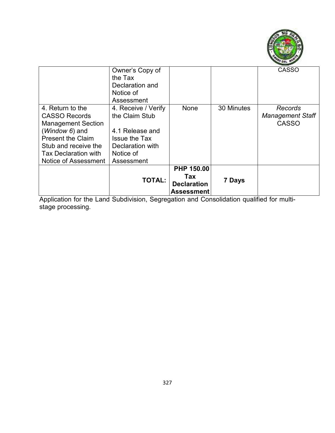

|                             | Owner's Copy of      |                    |            | <b>CASSO</b>            |
|-----------------------------|----------------------|--------------------|------------|-------------------------|
|                             | the Tax              |                    |            |                         |
|                             | Declaration and      |                    |            |                         |
|                             | Notice of            |                    |            |                         |
|                             | Assessment           |                    |            |                         |
| 4. Return to the            | 4. Receive / Verify  | None               | 30 Minutes | Records                 |
| <b>CASSO Records</b>        | the Claim Stub       |                    |            | <b>Management Staff</b> |
| <b>Management Section</b>   |                      |                    |            | <b>CASSO</b>            |
| $(Window 6)$ and            | 4.1 Release and      |                    |            |                         |
| <b>Present the Claim</b>    | <b>Issue the Tax</b> |                    |            |                         |
| Stub and receive the        | Declaration with     |                    |            |                         |
| <b>Tax Declaration with</b> | Notice of            |                    |            |                         |
| Notice of Assessment        | Assessment           |                    |            |                         |
|                             |                      | PHP 150.00         |            |                         |
|                             |                      | Tax                |            |                         |
|                             | <b>TOTAL:</b>        | <b>Declaration</b> | 7 Days     |                         |
|                             |                      | Assessment         |            |                         |
|                             |                      |                    |            |                         |

Application for the Land Subdivision, Segregation and Consolidation qualified for multistage processing.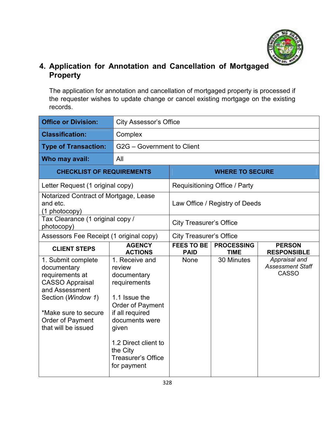

### **4. Application for Annotation and Cancellation of Mortgaged Property**

The application for annotation and cancellation of mortgaged property is processed if the requester wishes to update change or cancel existing mortgage on the existing records.

| <b>Office or Division:</b>                                                                                                                                                                | <b>City Assessor's Office</b>                                                                                                                                                                                              |                                  |                                  |                                                          |
|-------------------------------------------------------------------------------------------------------------------------------------------------------------------------------------------|----------------------------------------------------------------------------------------------------------------------------------------------------------------------------------------------------------------------------|----------------------------------|----------------------------------|----------------------------------------------------------|
| <b>Classification:</b>                                                                                                                                                                    | Complex                                                                                                                                                                                                                    |                                  |                                  |                                                          |
| <b>Type of Transaction:</b>                                                                                                                                                               | G2G - Government to Client                                                                                                                                                                                                 |                                  |                                  |                                                          |
| Who may avail:                                                                                                                                                                            | All                                                                                                                                                                                                                        |                                  |                                  |                                                          |
| <b>CHECKLIST OF REQUIREMENTS</b>                                                                                                                                                          |                                                                                                                                                                                                                            |                                  | <b>WHERE TO SECURE</b>           |                                                          |
| Letter Request (1 original copy)                                                                                                                                                          |                                                                                                                                                                                                                            |                                  | Requisitioning Office / Party    |                                                          |
| Notarized Contract of Mortgage, Lease<br>and etc.<br>(1 photocopy)                                                                                                                        |                                                                                                                                                                                                                            |                                  | Law Office / Registry of Deeds   |                                                          |
| Tax Clearance (1 original copy /<br>photocopy)                                                                                                                                            |                                                                                                                                                                                                                            | <b>City Treasurer's Office</b>   |                                  |                                                          |
| Assessors Fee Receipt (1 original copy)                                                                                                                                                   |                                                                                                                                                                                                                            | <b>City Treasurer's Office</b>   |                                  |                                                          |
| <b>CLIENT STEPS</b>                                                                                                                                                                       | <b>AGENCY</b><br><b>ACTIONS</b>                                                                                                                                                                                            | <b>FEES TO BE</b><br><b>PAID</b> | <b>PROCESSING</b><br><b>TIME</b> | <b>PERSON</b><br><b>RESPONSIBLE</b>                      |
| 1. Submit complete<br>documentary<br>requirements at<br><b>CASSO Appraisal</b><br>and Assessment<br>Section (Window 1)<br>*Make sure to secure<br>Order of Payment<br>that will be issued | 1. Receive and<br>review<br>documentary<br>requirements<br>1.1 Issue the<br>Order of Payment<br>if all required<br>documents were<br>given<br>1.2 Direct client to<br>the City<br><b>Treasurer's Office</b><br>for payment | None                             | 30 Minutes                       | Appraisal and<br><b>Assessment Staff</b><br><b>CASSO</b> |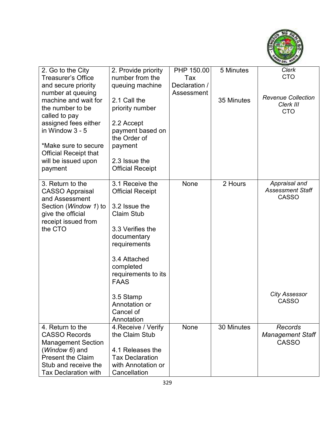

| 2. Go to the City            | 2. Provide priority        | PHP 150.00    | 5 Minutes  | Clerk                     |
|------------------------------|----------------------------|---------------|------------|---------------------------|
| <b>Treasurer's Office</b>    | number from the            | Tax           |            | <b>CTO</b>                |
| and secure priority          | queuing machine            | Declaration / |            |                           |
| number at queuing            |                            | Assessment    |            |                           |
| machine and wait for         | 2.1 Call the               |               | 35 Minutes | <b>Revenue Collection</b> |
| the number to be             | priority number            |               |            | Clerk III                 |
| called to pay                |                            |               |            | <b>CTO</b>                |
| assigned fees either         | 2.2 Accept                 |               |            |                           |
| in Window 3 - 5              | payment based on           |               |            |                           |
|                              | the Order of               |               |            |                           |
| *Make sure to secure         | payment                    |               |            |                           |
| <b>Official Receipt that</b> |                            |               |            |                           |
| will be issued upon          | 2.3 Issue the              |               |            |                           |
| payment                      | <b>Official Receipt</b>    |               |            |                           |
|                              |                            |               |            |                           |
| 3. Return to the             | 3.1 Receive the            | None          | 2 Hours    | Appraisal and             |
| <b>CASSO Appraisal</b>       | <b>Official Receipt</b>    |               |            | <b>Assessment Staff</b>   |
| and Assessment               |                            |               |            | <b>CASSO</b>              |
| Section (Window 1) to        | 3.2 Issue the              |               |            |                           |
| give the official            | <b>Claim Stub</b>          |               |            |                           |
| receipt issued from          |                            |               |            |                           |
| the CTO                      | 3.3 Verifies the           |               |            |                           |
|                              | documentary                |               |            |                           |
|                              | requirements               |               |            |                           |
|                              |                            |               |            |                           |
|                              | 3.4 Attached               |               |            |                           |
|                              | completed                  |               |            |                           |
|                              | requirements to its        |               |            |                           |
|                              | <b>FAAS</b>                |               |            |                           |
|                              |                            |               |            | <b>City Assessor</b>      |
|                              | 3.5 Stamp<br>Annotation or |               |            | <b>CASSO</b>              |
|                              | Cancel of                  |               |            |                           |
|                              | Annotation                 |               |            |                           |
| 4. Return to the             | 4. Receive / Verify        | None          | 30 Minutes | Records                   |
| <b>CASSO Records</b>         | the Claim Stub             |               |            | <b>Management Staff</b>   |
| <b>Management Section</b>    |                            |               |            | <b>CASSO</b>              |
| (Window 6) and               | 4.1 Releases the           |               |            |                           |
| <b>Present the Claim</b>     | <b>Tax Declaration</b>     |               |            |                           |
| Stub and receive the         | with Annotation or         |               |            |                           |
| <b>Tax Declaration with</b>  | Cancellation               |               |            |                           |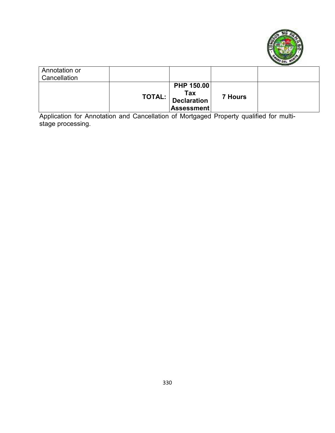

| Annotation or<br>Cancellation |                                                                                                              |                |  |
|-------------------------------|--------------------------------------------------------------------------------------------------------------|----------------|--|
|                               | PHP 150.00<br>$\left.\texttt{TOTAL:} \right  \frac{\texttt{Tax}}{\texttt{Declaration}}$<br><b>Assessment</b> | <b>7 Hours</b> |  |

Application for Annotation and Cancellation of Mortgaged Property qualified for multistage processing.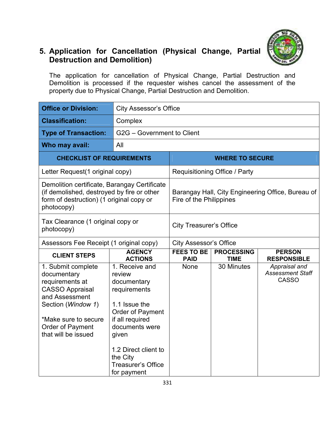

## **5. Application for Cancellation (Physical Change, Partial Destruction and Demolition)**

The application for cancellation of Physical Change, Partial Destruction and Demolition is processed if the requester wishes cancel the assessment of the property due to Physical Change, Partial Destruction and Demolition.

| <b>Office or Division:</b>                                                                                                                                                                | <b>City Assessor's Office</b>                                                                                                                                                                                              |                                  |                                      |                                                          |
|-------------------------------------------------------------------------------------------------------------------------------------------------------------------------------------------|----------------------------------------------------------------------------------------------------------------------------------------------------------------------------------------------------------------------------|----------------------------------|--------------------------------------|----------------------------------------------------------|
| <b>Classification:</b>                                                                                                                                                                    | Complex                                                                                                                                                                                                                    |                                  |                                      |                                                          |
| <b>Type of Transaction:</b>                                                                                                                                                               | G2G - Government to Client                                                                                                                                                                                                 |                                  |                                      |                                                          |
| Who may avail:                                                                                                                                                                            | All                                                                                                                                                                                                                        |                                  |                                      |                                                          |
| <b>CHECKLIST OF REQUIREMENTS</b>                                                                                                                                                          |                                                                                                                                                                                                                            |                                  | <b>WHERE TO SECURE</b>               |                                                          |
| Letter Request(1 original copy)                                                                                                                                                           |                                                                                                                                                                                                                            |                                  | <b>Requisitioning Office / Party</b> |                                                          |
| Demolition certificate, Barangay Certificate<br>(if demolished, destroyed by fire or other<br>form of destruction) (1 original copy or<br>photocopy)                                      |                                                                                                                                                                                                                            | Fire of the Philippines          |                                      | Barangay Hall, City Engineering Office, Bureau of        |
| Tax Clearance (1 original copy or<br>photocopy)                                                                                                                                           |                                                                                                                                                                                                                            | <b>City Treasurer's Office</b>   |                                      |                                                          |
| Assessors Fee Receipt (1 original copy)                                                                                                                                                   |                                                                                                                                                                                                                            | <b>City Assessor's Office</b>    |                                      |                                                          |
| <b>CLIENT STEPS</b>                                                                                                                                                                       | <b>AGENCY</b><br><b>ACTIONS</b>                                                                                                                                                                                            | <b>FEES TO BE</b><br><b>PAID</b> | <b>PROCESSING</b><br><b>TIME</b>     | <b>PERSON</b><br><b>RESPONSIBLE</b>                      |
| 1. Submit complete<br>documentary<br>requirements at<br><b>CASSO Appraisal</b><br>and Assessment<br>Section (Window 1)<br>*Make sure to secure<br>Order of Payment<br>that will be issued | 1. Receive and<br>review<br>documentary<br>requirements<br>1.1 Issue the<br>Order of Payment<br>if all required<br>documents were<br>given<br>1.2 Direct client to<br>the City<br><b>Treasurer's Office</b><br>for payment | None                             | 30 Minutes                           | Appraisal and<br><b>Assessment Staff</b><br><b>CASSO</b> |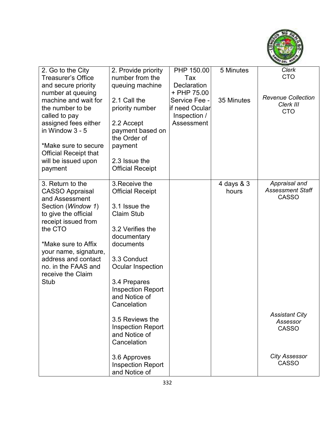

| 2. Go to the City            | 2. Provide priority      | PHP 150.00         | 5 Minutes  | Clerk                     |
|------------------------------|--------------------------|--------------------|------------|---------------------------|
| <b>Treasurer's Office</b>    | number from the          | Tax                |            | <b>CTO</b>                |
| and secure priority          | queuing machine          | <b>Declaration</b> |            |                           |
| number at queuing            |                          | + PHP 75.00        |            | <b>Revenue Collection</b> |
| machine and wait for         | 2.1 Call the             | Service Fee -      | 35 Minutes | Clerk III                 |
| the number to be             | priority number          | lif need Ocular    |            | <b>CTO</b>                |
| called to pay                |                          | Inspection /       |            |                           |
| assigned fees either         | 2.2 Accept               | Assessment         |            |                           |
| in Window 3 - 5              | payment based on         |                    |            |                           |
|                              | the Order of             |                    |            |                           |
| *Make sure to secure         | payment                  |                    |            |                           |
| <b>Official Receipt that</b> |                          |                    |            |                           |
| will be issued upon          | 2.3 Issue the            |                    |            |                           |
| payment                      | <b>Official Receipt</b>  |                    |            |                           |
|                              |                          |                    |            |                           |
| 3. Return to the             | 3. Receive the           |                    | 4 days & 3 | Appraisal and             |
| <b>CASSO Appraisal</b>       | <b>Official Receipt</b>  |                    | hours      | <b>Assessment Staff</b>   |
| and Assessment               |                          |                    |            | <b>CASSO</b>              |
| Section (Window 1)           | 3.1 Issue the            |                    |            |                           |
| to give the official         | <b>Claim Stub</b>        |                    |            |                           |
| receipt issued from          |                          |                    |            |                           |
| the CTO                      | 3.2 Verifies the         |                    |            |                           |
|                              | documentary              |                    |            |                           |
| *Make sure to Affix          | documents                |                    |            |                           |
| your name, signature,        |                          |                    |            |                           |
| address and contact          | 3.3 Conduct              |                    |            |                           |
| no. in the FAAS and          | Ocular Inspection        |                    |            |                           |
| receive the Claim            |                          |                    |            |                           |
| <b>Stub</b>                  | 3.4 Prepares             |                    |            |                           |
|                              | <b>Inspection Report</b> |                    |            |                           |
|                              | and Notice of            |                    |            |                           |
|                              | Cancelation              |                    |            |                           |
|                              |                          |                    |            | <b>Assistant City</b>     |
|                              | 3.5 Reviews the          |                    |            | Assessor                  |
|                              | <b>Inspection Report</b> |                    |            | <b>CASSO</b>              |
|                              | and Notice of            |                    |            |                           |
|                              | Cancelation              |                    |            |                           |
|                              |                          |                    |            | <b>City Assessor</b>      |
|                              | 3.6 Approves             |                    |            | <b>CASSO</b>              |
|                              | <b>Inspection Report</b> |                    |            |                           |
|                              | and Notice of            |                    |            |                           |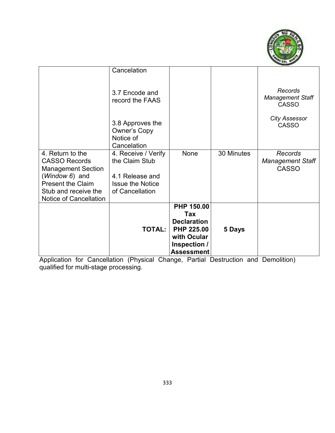

| Stub and receive the<br>Notice of Cancellation                                                                      | of Cancellation<br><b>TOTAL:</b>                                                    | <b>PHP 150.00</b><br>Tax<br><b>Declaration</b><br><b>PHP 225.00</b> | 5 Days     |                                                    |
|---------------------------------------------------------------------------------------------------------------------|-------------------------------------------------------------------------------------|---------------------------------------------------------------------|------------|----------------------------------------------------|
| 4. Return to the<br><b>CASSO Records</b><br><b>Management Section</b><br>(Window 6) and<br><b>Present the Claim</b> | 4. Receive / Verify<br>the Claim Stub<br>4.1 Release and<br><b>Issue the Notice</b> | None                                                                | 30 Minutes | Records<br><b>Management Staff</b><br><b>CASSO</b> |
|                                                                                                                     | 3.8 Approves the<br><b>Owner's Copy</b><br>Notice of<br>Cancelation                 |                                                                     |            | <b>City Assessor</b><br><b>CASSO</b>               |
|                                                                                                                     | Cancelation<br>3.7 Encode and<br>record the FAAS                                    |                                                                     |            | Records<br><b>Management Staff</b><br><b>CASSO</b> |

Application for Cancellation (Physical Change, Partial Destruction and Demolition) qualified for multi-stage processing.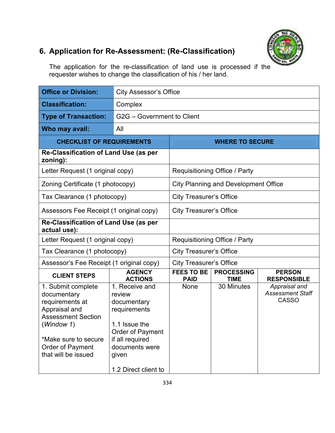

## **6. Application for Re-Assessment: (Re-Classification)**

The application for the re-classification of land use is processed if the requester wishes to change the classification of his / her land.

| <b>Office or Division:</b>                                                                                                                                                          | <b>City Assessor's Office</b>                                                                                                                                      |                                      |                                             |                                                          |  |
|-------------------------------------------------------------------------------------------------------------------------------------------------------------------------------------|--------------------------------------------------------------------------------------------------------------------------------------------------------------------|--------------------------------------|---------------------------------------------|----------------------------------------------------------|--|
| <b>Classification:</b>                                                                                                                                                              | Complex                                                                                                                                                            |                                      |                                             |                                                          |  |
| <b>Type of Transaction:</b>                                                                                                                                                         | G2G - Government to Client                                                                                                                                         |                                      |                                             |                                                          |  |
| Who may avail:                                                                                                                                                                      | All                                                                                                                                                                |                                      |                                             |                                                          |  |
| <b>CHECKLIST OF REQUIREMENTS</b>                                                                                                                                                    |                                                                                                                                                                    |                                      | <b>WHERE TO SECURE</b>                      |                                                          |  |
| Re-Classification of Land Use (as per<br>zoning):                                                                                                                                   |                                                                                                                                                                    |                                      |                                             |                                                          |  |
| Letter Request (1 original copy)                                                                                                                                                    |                                                                                                                                                                    |                                      | <b>Requisitioning Office / Party</b>        |                                                          |  |
| Zoning Certificate (1 photocopy)                                                                                                                                                    |                                                                                                                                                                    |                                      | <b>City Planning and Development Office</b> |                                                          |  |
| Tax Clearance (1 photocopy)                                                                                                                                                         |                                                                                                                                                                    | <b>City Treasurer's Office</b>       |                                             |                                                          |  |
|                                                                                                                                                                                     | Assessors Fee Receipt (1 original copy)                                                                                                                            |                                      | <b>City Treasurer's Office</b>              |                                                          |  |
| Re-Classification of Land Use (as per<br>actual use):                                                                                                                               |                                                                                                                                                                    |                                      |                                             |                                                          |  |
| Letter Request (1 original copy)                                                                                                                                                    |                                                                                                                                                                    | <b>Requisitioning Office / Party</b> |                                             |                                                          |  |
| Tax Clearance (1 photocopy)                                                                                                                                                         |                                                                                                                                                                    | <b>City Treasurer's Office</b>       |                                             |                                                          |  |
| Assessor's Fee Receipt (1 original copy)                                                                                                                                            |                                                                                                                                                                    | <b>City Treasurer's Office</b>       |                                             |                                                          |  |
| <b>CLIENT STEPS</b>                                                                                                                                                                 | <b>AGENCY</b><br><b>ACTIONS</b>                                                                                                                                    | <b>FEES TO BE</b><br><b>PAID</b>     | <b>PROCESSING</b><br><b>TIME</b>            | <b>PERSON</b><br><b>RESPONSIBLE</b>                      |  |
| 1. Submit complete<br>documentary<br>requirements at<br>Appraisal and<br><b>Assessment Section</b><br>(Window 1)<br>*Make sure to secure<br>Order of Payment<br>that will be issued | 1. Receive and<br>review<br>documentary<br>requirements<br>1.1 Issue the<br>Order of Payment<br>if all required<br>documents were<br>given<br>1.2 Direct client to | <b>None</b>                          | 30 Minutes                                  | Appraisal and<br><b>Assessment Staff</b><br><b>CASSO</b> |  |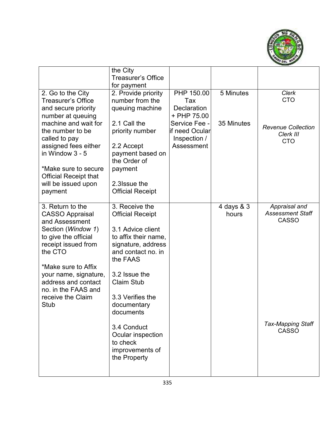

|                                                                                                                                                                                                                                                                                | the City                                                                                                                                                                                                                             |                                                                |                     |                                                          |
|--------------------------------------------------------------------------------------------------------------------------------------------------------------------------------------------------------------------------------------------------------------------------------|--------------------------------------------------------------------------------------------------------------------------------------------------------------------------------------------------------------------------------------|----------------------------------------------------------------|---------------------|----------------------------------------------------------|
|                                                                                                                                                                                                                                                                                | <b>Treasurer's Office</b>                                                                                                                                                                                                            |                                                                |                     |                                                          |
|                                                                                                                                                                                                                                                                                | for payment                                                                                                                                                                                                                          |                                                                |                     |                                                          |
| 2. Go to the City<br>Treasurer's Office<br>and secure priority<br>number at queuing<br>machine and wait for                                                                                                                                                                    | 2. Provide priority<br>number from the<br>queuing machine<br>2.1 Call the                                                                                                                                                            | PHP 150.00<br>Tax<br><b>Declaration</b><br>+ PHP 75.00         | 5 Minutes           | <b>Clerk</b><br><b>CTO</b>                               |
| the number to be<br>called to pay<br>assigned fees either<br>in Window 3 - 5                                                                                                                                                                                                   | priority number<br>2.2 Accept<br>payment based on<br>the Order of                                                                                                                                                                    | Service Fee -<br>lif need Ocular<br>Inspection /<br>Assessment | 35 Minutes          | <b>Revenue Collection</b><br>Clerk III<br><b>CTO</b>     |
| *Make sure to secure<br><b>Official Receipt that</b><br>will be issued upon<br>payment                                                                                                                                                                                         | payment<br>2.3 Issue the<br><b>Official Receipt</b>                                                                                                                                                                                  |                                                                |                     |                                                          |
| 3. Return to the<br><b>CASSO Appraisal</b><br>and Assessment<br>Section (Window 1)<br>to give the official<br>receipt issued from<br>the CTO<br>*Make sure to Affix<br>your name, signature,<br>address and contact<br>no. in the FAAS and<br>receive the Claim<br><b>Stub</b> | 3. Receive the<br><b>Official Receipt</b><br>3.1 Advice client<br>to affix their name,<br>signature, address<br>and contact no. in<br>the FAAS<br>3.2 Issue the<br><b>Claim Stub</b><br>3.3 Verifies the<br>documentary<br>documents |                                                                | 4 days & 3<br>hours | Appraisal and<br><b>Assessment Staff</b><br><b>CASSO</b> |
|                                                                                                                                                                                                                                                                                | 3.4 Conduct<br>Ocular inspection<br>to check<br>improvements of<br>the Property                                                                                                                                                      |                                                                |                     | <b>Tax-Mapping Staff</b><br><b>CASSO</b>                 |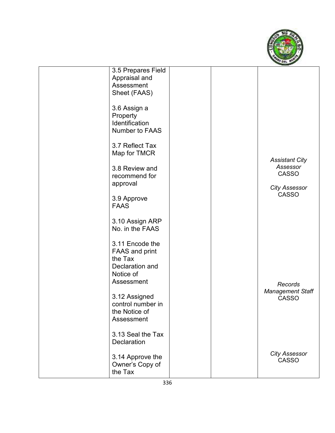

| 3.5 Prepares Field    |  |                         |
|-----------------------|--|-------------------------|
| Appraisal and         |  |                         |
| Assessment            |  |                         |
| Sheet (FAAS)          |  |                         |
|                       |  |                         |
| 3.6 Assign a          |  |                         |
|                       |  |                         |
| Property              |  |                         |
| Identification        |  |                         |
| Number to FAAS        |  |                         |
|                       |  |                         |
| 3.7 Reflect Tax       |  |                         |
| Map for TMCR          |  |                         |
|                       |  | <b>Assistant City</b>   |
| 3.8 Review and        |  | Assessor                |
| recommend for         |  | <b>CASSO</b>            |
| approval              |  |                         |
|                       |  | <b>City Assessor</b>    |
| 3.9 Approve           |  | <b>CASSO</b>            |
| <b>FAAS</b>           |  |                         |
|                       |  |                         |
|                       |  |                         |
| 3.10 Assign ARP       |  |                         |
| No. in the FAAS       |  |                         |
|                       |  |                         |
| 3.11 Encode the       |  |                         |
| <b>FAAS and print</b> |  |                         |
| the Tax               |  |                         |
| Declaration and       |  |                         |
| Notice of             |  |                         |
| Assessment            |  | Records                 |
|                       |  | <b>Management Staff</b> |
| 3.12 Assigned         |  | <b>CASSO</b>            |
| control number in     |  |                         |
| the Notice of         |  |                         |
| Assessment            |  |                         |
|                       |  |                         |
| 3.13 Seal the Tax     |  |                         |
|                       |  |                         |
| Declaration           |  |                         |
|                       |  | <b>City Assessor</b>    |
| 3.14 Approve the      |  | <b>CASSO</b>            |
| Owner's Copy of       |  |                         |
| the Tax               |  |                         |
|                       |  |                         |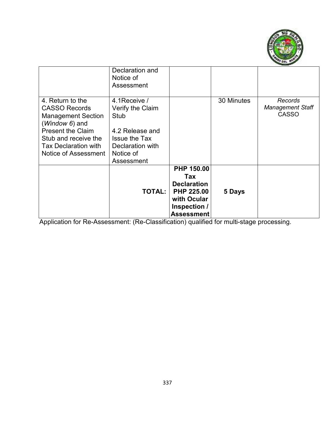

|                                                                                                                                                                                                    | Declaration and<br>Notice of<br>Assessment                                                                                          |                                                                                                                         |            |                                                    |
|----------------------------------------------------------------------------------------------------------------------------------------------------------------------------------------------------|-------------------------------------------------------------------------------------------------------------------------------------|-------------------------------------------------------------------------------------------------------------------------|------------|----------------------------------------------------|
| 4. Return to the<br><b>CASSO Records</b><br><b>Management Section</b><br>(Window 6) and<br><b>Present the Claim</b><br>Stub and receive the<br><b>Tax Declaration with</b><br>Notice of Assessment | 4.1 Receive /<br>Verify the Claim<br>Stub<br>4.2 Release and<br><b>Issue the Tax</b><br>Declaration with<br>Notice of<br>Assessment |                                                                                                                         | 30 Minutes | Records<br><b>Management Staff</b><br><b>CASSO</b> |
|                                                                                                                                                                                                    | TOTAL:                                                                                                                              | <b>PHP 150.00</b><br>Tax<br><b>Declaration</b><br><b>PHP 225.00</b><br>with Ocular<br>Inspection /<br><b>Assessment</b> | 5 Days     |                                                    |

Application for Re-Assessment: (Re-Classification) qualified for multi-stage processing.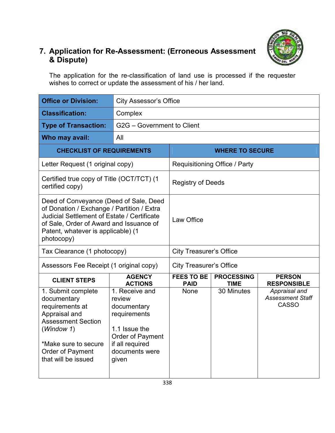

## **7. Application for Re-Assessment: (Erroneous Assessment & Dispute)**

The application for the re-classification of land use is processed if the requester wishes to correct or update the assessment of his / her land.

| <b>Office or Division:</b>                                                                                                                                                                                                         |                                                                                                                                            | <b>City Assessor's Office</b>    |                                  |                                                          |  |
|------------------------------------------------------------------------------------------------------------------------------------------------------------------------------------------------------------------------------------|--------------------------------------------------------------------------------------------------------------------------------------------|----------------------------------|----------------------------------|----------------------------------------------------------|--|
| <b>Classification:</b>                                                                                                                                                                                                             | Complex                                                                                                                                    |                                  |                                  |                                                          |  |
| <b>Type of Transaction:</b>                                                                                                                                                                                                        | G2G - Government to Client                                                                                                                 |                                  |                                  |                                                          |  |
| Who may avail:                                                                                                                                                                                                                     | All                                                                                                                                        |                                  |                                  |                                                          |  |
| <b>CHECKLIST OF REQUIREMENTS</b>                                                                                                                                                                                                   |                                                                                                                                            |                                  | <b>WHERE TO SECURE</b>           |                                                          |  |
| Letter Request (1 original copy)                                                                                                                                                                                                   |                                                                                                                                            |                                  | Requisitioning Office / Party    |                                                          |  |
| Certified true copy of Title (OCT/TCT) (1<br>certified copy)                                                                                                                                                                       |                                                                                                                                            | <b>Registry of Deeds</b>         |                                  |                                                          |  |
| Deed of Conveyance (Deed of Sale, Deed<br>of Donation / Exchange / Partition / Extra<br>Judicial Settlement of Estate / Certificate<br>of Sale, Order of Award and Issuance of<br>Patent, whatever is applicable) (1<br>photocopy) |                                                                                                                                            | Law Office                       |                                  |                                                          |  |
| Tax Clearance (1 photocopy)                                                                                                                                                                                                        |                                                                                                                                            | <b>City Treasurer's Office</b>   |                                  |                                                          |  |
| Assessors Fee Receipt (1 original copy)                                                                                                                                                                                            |                                                                                                                                            | <b>City Treasurer's Office</b>   |                                  |                                                          |  |
| <b>CLIENT STEPS</b>                                                                                                                                                                                                                | <b>AGENCY</b><br><b>ACTIONS</b>                                                                                                            | <b>FEES TO BE</b><br><b>PAID</b> | <b>PROCESSING</b><br><b>TIME</b> | <b>PERSON</b><br><b>RESPONSIBLE</b>                      |  |
| 1. Submit complete<br>documentary<br>requirements at<br>Appraisal and<br><b>Assessment Section</b><br>(Window 1)<br>*Make sure to secure<br>Order of Payment<br>that will be issued                                                | 1. Receive and<br>review<br>documentary<br>requirements<br>1.1 Issue the<br>Order of Payment<br>if all required<br>documents were<br>given | <b>None</b>                      | 30 Minutes                       | Appraisal and<br><b>Assessment Staff</b><br><b>CASSO</b> |  |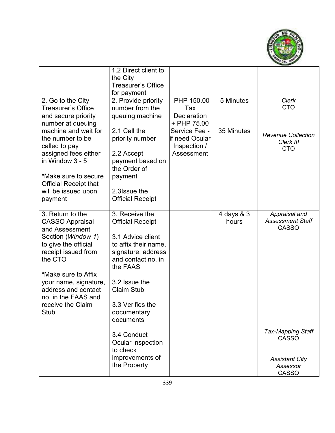

|                              | 1.2 Direct client to      |                    |            |                           |
|------------------------------|---------------------------|--------------------|------------|---------------------------|
|                              | the City                  |                    |            |                           |
|                              | <b>Treasurer's Office</b> |                    |            |                           |
|                              | for payment               |                    |            |                           |
| 2. Go to the City            | 2. Provide priority       | PHP 150.00         | 5 Minutes  | <b>Clerk</b>              |
| <b>Treasurer's Office</b>    | number from the           | Tax                |            | <b>CTO</b>                |
| and secure priority          | queuing machine           | <b>Declaration</b> |            |                           |
| number at queuing            |                           | + PHP 75.00        |            |                           |
| machine and wait for         | 2.1 Call the              | Service Fee -      | 35 Minutes | <b>Revenue Collection</b> |
| the number to be             | priority number           | lif need Ocular    |            | Clerk III                 |
| called to pay                |                           | Inspection /       |            | <b>CTO</b>                |
| assigned fees either         | 2.2 Accept                | Assessment         |            |                           |
| in Window 3 - 5              | payment based on          |                    |            |                           |
|                              | the Order of              |                    |            |                           |
| *Make sure to secure         | payment                   |                    |            |                           |
| <b>Official Receipt that</b> |                           |                    |            |                           |
| will be issued upon          | 2.3 Issue the             |                    |            |                           |
| payment                      | <b>Official Receipt</b>   |                    |            |                           |
| 3. Return to the             | 3. Receive the            |                    | 4 days & 3 | Appraisal and             |
| <b>CASSO Appraisal</b>       | <b>Official Receipt</b>   |                    | hours      | <b>Assessment Staff</b>   |
| and Assessment               |                           |                    |            | <b>CASSO</b>              |
| Section (Window 1)           | 3.1 Advice client         |                    |            |                           |
| to give the official         | to affix their name,      |                    |            |                           |
| receipt issued from          | signature, address        |                    |            |                           |
| the CTO                      | and contact no. in        |                    |            |                           |
|                              | the FAAS                  |                    |            |                           |
| *Make sure to Affix          |                           |                    |            |                           |
| your name, signature,        | 3.2 Issue the             |                    |            |                           |
| address and contact          | <b>Claim Stub</b>         |                    |            |                           |
| no. in the FAAS and          |                           |                    |            |                           |
| receive the Claim            | 3.3 Verifies the          |                    |            |                           |
| Stub                         | documentary               |                    |            |                           |
|                              | documents                 |                    |            |                           |
|                              |                           |                    |            | <b>Tax-Mapping Staff</b>  |
|                              | 3.4 Conduct               |                    |            | <b>CASSO</b>              |
|                              | Ocular inspection         |                    |            |                           |
|                              | to check                  |                    |            |                           |
|                              | improvements of           |                    |            | <b>Assistant City</b>     |
|                              | the Property              |                    |            | Assessor                  |
|                              |                           |                    |            | <b>CASSO</b>              |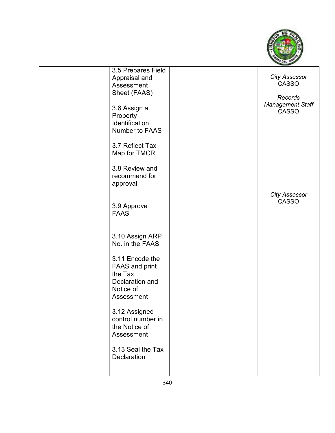

| 3.5 Prepares Field<br>Appraisal and<br>Assessment<br>Sheet (FAAS)<br>3.6 Assign a<br>Property<br>Identification<br>Number to FAAS<br>3.7 Reflect Tax<br>Map for TMCR<br>3.8 Review and<br>recommend for                                                 |  | <b>City Assessor</b><br><b>CASSO</b><br>Records<br><b>Management Staff</b><br><b>CASSO</b> |
|---------------------------------------------------------------------------------------------------------------------------------------------------------------------------------------------------------------------------------------------------------|--|--------------------------------------------------------------------------------------------|
| approval<br>3.9 Approve<br><b>FAAS</b>                                                                                                                                                                                                                  |  | <b>City Assessor</b><br><b>CASSO</b>                                                       |
| 3.10 Assign ARP<br>No. in the FAAS<br>3.11 Encode the<br><b>FAAS and print</b><br>the Tax<br>Declaration and<br>Notice of<br>Assessment<br>3.12 Assigned<br>control number in<br>the Notice of<br>Assessment<br>3.13 Seal the Tax<br><b>Declaration</b> |  |                                                                                            |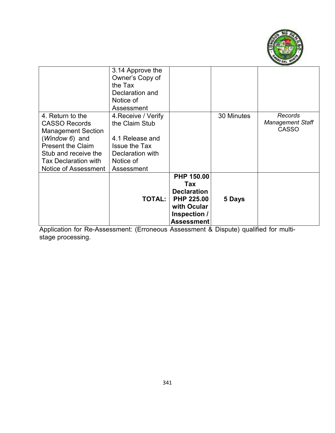

|                                                                                                                                                                                                    | 3.14 Approve the<br>Owner's Copy of<br>the Tax<br>Declaration and<br>Notice of<br>Assessment                                    |                                                                                                                         |            |                                                    |
|----------------------------------------------------------------------------------------------------------------------------------------------------------------------------------------------------|---------------------------------------------------------------------------------------------------------------------------------|-------------------------------------------------------------------------------------------------------------------------|------------|----------------------------------------------------|
| 4. Return to the<br><b>CASSO Records</b><br><b>Management Section</b><br>(Window 6) and<br><b>Present the Claim</b><br>Stub and receive the<br><b>Tax Declaration with</b><br>Notice of Assessment | 4. Receive / Verify<br>the Claim Stub<br>4.1 Release and<br><b>Issue the Tax</b><br>Declaration with<br>Notice of<br>Assessment |                                                                                                                         | 30 Minutes | Records<br><b>Management Staff</b><br><b>CASSO</b> |
|                                                                                                                                                                                                    | <b>TOTAL:</b>                                                                                                                   | <b>PHP 150.00</b><br>Tax<br><b>Declaration</b><br><b>PHP 225.00</b><br>with Ocular<br>Inspection /<br><b>Assessment</b> | 5 Days     |                                                    |

Application for Re-Assessment: (Erroneous Assessment & Dispute) qualified for multistage processing.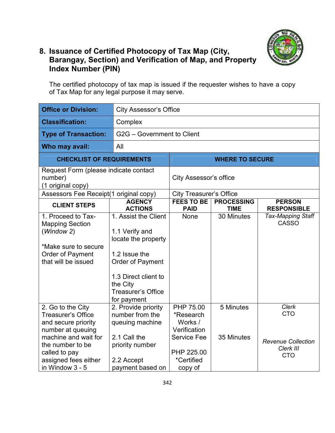

#### **8. Issuance of Certified Photocopy of Tax Map (City, Barangay, Section) and Verification of Map, and Property Index Number (PIN)**

The certified photocopy of tax map is issued if the requester wishes to have a copy of Tax Map for any legal purpose it may serve.

| <b>Office or Division:</b>                                                                                                                                                                         | <b>City Assessor's Office</b>                                                                                                                                                      |                                                                                                                |                                  |                                                                                    |  |  |
|----------------------------------------------------------------------------------------------------------------------------------------------------------------------------------------------------|------------------------------------------------------------------------------------------------------------------------------------------------------------------------------------|----------------------------------------------------------------------------------------------------------------|----------------------------------|------------------------------------------------------------------------------------|--|--|
| <b>Classification:</b>                                                                                                                                                                             | Complex                                                                                                                                                                            |                                                                                                                |                                  |                                                                                    |  |  |
| <b>Type of Transaction:</b>                                                                                                                                                                        |                                                                                                                                                                                    | G2G - Government to Client                                                                                     |                                  |                                                                                    |  |  |
| Who may avail:                                                                                                                                                                                     | All                                                                                                                                                                                |                                                                                                                |                                  |                                                                                    |  |  |
| <b>CHECKLIST OF REQUIREMENTS</b>                                                                                                                                                                   |                                                                                                                                                                                    |                                                                                                                | <b>WHERE TO SECURE</b>           |                                                                                    |  |  |
| Request Form (please indicate contact<br>number)<br>(1 original copy)                                                                                                                              |                                                                                                                                                                                    | City Assessor's office                                                                                         |                                  |                                                                                    |  |  |
| Assessors Fee Receipt(1 original copy)                                                                                                                                                             |                                                                                                                                                                                    | <b>City Treasurer's Office</b>                                                                                 |                                  |                                                                                    |  |  |
| <b>CLIENT STEPS</b>                                                                                                                                                                                | <b>AGENCY</b><br><b>ACTIONS</b>                                                                                                                                                    | <b>FEES TO BE</b><br><b>PAID</b>                                                                               | <b>PROCESSING</b><br><b>TIME</b> | <b>PERSON</b><br><b>RESPONSIBLE</b>                                                |  |  |
| 1. Proceed to Tax-<br><b>Mapping Section</b><br>(Window 2)<br>*Make sure to secure<br>Order of Payment<br>that will be issued                                                                      | 1. Assist the Client<br>1.1 Verify and<br>locate the property<br>1.2 Issue the<br>Order of Payment<br>1.3 Direct client to<br>the City<br><b>Treasurer's Office</b><br>for payment | <b>None</b>                                                                                                    | 30 Minutes                       | <b>Tax-Mapping Staff</b><br><b>CASSO</b>                                           |  |  |
| 2. Go to the City<br><b>Treasurer's Office</b><br>and secure priority<br>number at queuing<br>machine and wait for<br>the number to be<br>called to pay<br>assigned fees either<br>in Window 3 - 5 | 2. Provide priority<br>number from the<br>queuing machine<br>2.1 Call the<br>priority number<br>2.2 Accept<br>payment based on                                                     | PHP 75.00<br>*Research<br>Works /<br>Verification<br><b>Service Fee</b><br>PHP 225.00<br>*Certified<br>copy of | 5 Minutes<br>35 Minutes          | <b>Clerk</b><br><b>CTO</b><br><b>Revenue Collection</b><br>Clerk III<br><b>CTO</b> |  |  |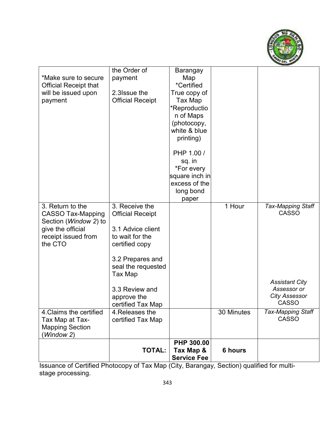

|                              | the Order of            | Barangay           |            |                          |
|------------------------------|-------------------------|--------------------|------------|--------------------------|
| *Make sure to secure         | payment                 | Map                |            |                          |
| <b>Official Receipt that</b> |                         | *Certified         |            |                          |
| will be issued upon          | 2.3 Issue the           | True copy of       |            |                          |
| payment                      | <b>Official Receipt</b> | Tax Map            |            |                          |
|                              |                         | *Reproductio       |            |                          |
|                              |                         | n of Maps          |            |                          |
|                              |                         | (photocopy,        |            |                          |
|                              |                         | white & blue       |            |                          |
|                              |                         | printing)          |            |                          |
|                              |                         | PHP 1.00 /         |            |                          |
|                              |                         | sq. in             |            |                          |
|                              |                         | *For every         |            |                          |
|                              |                         | square inch in     |            |                          |
|                              |                         | excess of the      |            |                          |
|                              |                         | long bond          |            |                          |
|                              |                         | paper              |            |                          |
| 3. Return to the             | 3. Receive the          |                    | 1 Hour     | <b>Tax-Mapping Staff</b> |
| <b>CASSO Tax-Mapping</b>     | <b>Official Receipt</b> |                    |            | <b>CASSO</b>             |
| Section (Window 2) to        |                         |                    |            |                          |
| give the official            | 3.1 Advice client       |                    |            |                          |
| receipt issued from          | to wait for the         |                    |            |                          |
| the CTO                      | certified copy          |                    |            |                          |
|                              | 3.2 Prepares and        |                    |            |                          |
|                              | seal the requested      |                    |            |                          |
|                              | Tax Map                 |                    |            |                          |
|                              |                         |                    |            | <b>Assistant City</b>    |
|                              | 3.3 Review and          |                    |            | Assessor or              |
|                              | approve the             |                    |            | <b>City Assessor</b>     |
|                              | certified Tax Map       |                    |            | <b>CASSO</b>             |
| 4. Claims the certified      | 4. Releases the         |                    | 30 Minutes | <b>Tax-Mapping Staff</b> |
| Tax Map at Tax-              | certified Tax Map       |                    |            | <b>CASSO</b>             |
| <b>Mapping Section</b>       |                         |                    |            |                          |
| (Window 2)                   |                         |                    |            |                          |
|                              |                         | <b>PHP 300.00</b>  |            |                          |
|                              | <b>TOTAL:</b>           | Tax Map &          | 6 hours    |                          |
|                              |                         | <b>Service Fee</b> |            |                          |

Issuance of Certified Photocopy of Tax Map (City, Barangay, Section) qualified for multistage processing.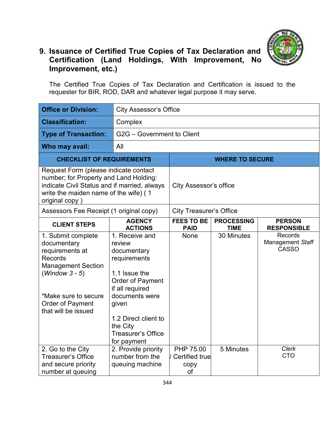

### **9. Issuance of Certified True Copies of Tax Declaration and Certification (Land Holdings, With Improvement, No Improvement, etc.)**

The Certified True Copies of Tax Declaration and Certification is issued to the requester for BIR, ROD, DAR and whatever legal purpose it may serve.

| <b>Office or Division:</b>                                                                                                                                                                 |                                                                                                                                                                                                                            | <b>City Assessor's Office</b>               |                                  |                                             |  |  |
|--------------------------------------------------------------------------------------------------------------------------------------------------------------------------------------------|----------------------------------------------------------------------------------------------------------------------------------------------------------------------------------------------------------------------------|---------------------------------------------|----------------------------------|---------------------------------------------|--|--|
| <b>Classification:</b>                                                                                                                                                                     | Complex                                                                                                                                                                                                                    |                                             |                                  |                                             |  |  |
| <b>Type of Transaction:</b>                                                                                                                                                                |                                                                                                                                                                                                                            | G2G - Government to Client                  |                                  |                                             |  |  |
| Who may avail:                                                                                                                                                                             | All                                                                                                                                                                                                                        |                                             |                                  |                                             |  |  |
| <b>CHECKLIST OF REQUIREMENTS</b>                                                                                                                                                           |                                                                                                                                                                                                                            |                                             | <b>WHERE TO SECURE</b>           |                                             |  |  |
| original copy)                                                                                                                                                                             | Request Form (please indicate contact<br>number; for Property and Land Holding:<br>indicate Civil Status and if married, always<br>write the maiden name of the wife) (1                                                   |                                             | City Assessor's office           |                                             |  |  |
| Assessors Fee Receipt (1 original copy)                                                                                                                                                    |                                                                                                                                                                                                                            | <b>City Treasurer's Office</b>              |                                  |                                             |  |  |
| <b>CLIENT STEPS</b>                                                                                                                                                                        | <b>AGENCY</b><br><b>ACTIONS</b>                                                                                                                                                                                            | <b>FEES TO BE</b><br><b>PAID</b>            | <b>PROCESSING</b><br><b>TIME</b> | <b>PERSON</b><br><b>RESPONSIBLE</b>         |  |  |
| 1. Submit complete<br>documentary<br>requirements at<br><b>Records</b><br><b>Management Section</b><br>$(Window 3 - 5)$<br>*Make sure to secure<br>Order of Payment<br>that will be issued | 1. Receive and<br>review<br>documentary<br>requirements<br>1.1 Issue the<br>Order of Payment<br>if all required<br>documents were<br>given<br>1.2 Direct client to<br>the City<br><b>Treasurer's Office</b><br>for payment | None                                        | 30 Minutes                       | Records<br>Management Staff<br><b>CASSO</b> |  |  |
| 2. Go to the City<br><b>Treasurer's Office</b><br>and secure priority<br>number at queuing                                                                                                 | 2. Provide priority<br>number from the<br>queuing machine                                                                                                                                                                  | PHP 75.00<br>/ Certified true<br>copy<br>of | 5 Minutes                        | <b>Clerk</b><br><b>CTO</b>                  |  |  |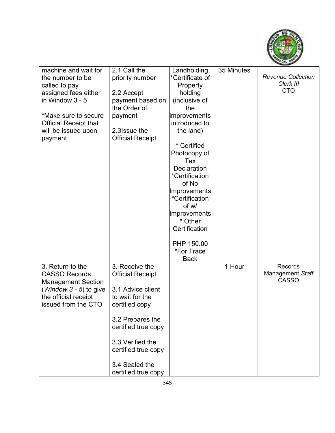

| machine and wait for            | 2.1 Call the            | Landholding         | 35 Minutes |                           |
|---------------------------------|-------------------------|---------------------|------------|---------------------------|
| the number to be                | priority number         | *Certificate of     |            | <b>Revenue Collection</b> |
| called to pay                   |                         | Property            |            | Clerk III                 |
| assigned fees either            | 2.2 Accept              | holding             |            | <b>CTO</b>                |
| in Window $3 - 5$               | payment based on        | (inclusive of       |            |                           |
|                                 | the Order of            | the                 |            |                           |
| *Make sure to secure            | payment                 | <b>improvements</b> |            |                           |
| <b>Official Receipt that</b>    |                         | introduced to       |            |                           |
|                                 | 2.3 Issue the           |                     |            |                           |
| will be issued upon             |                         | the land)           |            |                           |
| payment                         | <b>Official Receipt</b> |                     |            |                           |
|                                 |                         | * Certified         |            |                           |
|                                 |                         | Photocopy of        |            |                           |
|                                 |                         | Tax                 |            |                           |
|                                 |                         | Declaration         |            |                           |
|                                 |                         | *Certification      |            |                           |
|                                 |                         | of No               |            |                           |
|                                 |                         | Improvements        |            |                           |
|                                 |                         | *Certification      |            |                           |
|                                 |                         | of w/               |            |                           |
|                                 |                         | Improvements        |            |                           |
|                                 |                         | * Other             |            |                           |
|                                 |                         | Certification       |            |                           |
|                                 |                         |                     |            |                           |
|                                 |                         | PHP 150.00          |            |                           |
|                                 |                         | *For Trace          |            |                           |
|                                 |                         | <b>Back</b>         |            |                           |
| 3. Return to the                | 3. Receive the          |                     | 1 Hour     | Records                   |
| <b>CASSO Records</b>            | <b>Official Receipt</b> |                     |            | Management Staff          |
| <b>Management Section</b>       |                         |                     |            | <b>CASSO</b>              |
| ( <i>Window 3 - 5</i> ) to give | 3.1 Advice client       |                     |            |                           |
| the official receipt            | to wait for the         |                     |            |                           |
|                                 |                         |                     |            |                           |
| issued from the CTO             | certified copy          |                     |            |                           |
|                                 |                         |                     |            |                           |
|                                 | 3.2 Prepares the        |                     |            |                           |
|                                 | certified true copy     |                     |            |                           |
|                                 |                         |                     |            |                           |
|                                 | 3.3 Verified the        |                     |            |                           |
|                                 | certified true copy     |                     |            |                           |
|                                 |                         |                     |            |                           |
|                                 | 3.4 Sealed the          |                     |            |                           |
|                                 | certified true copy     |                     |            |                           |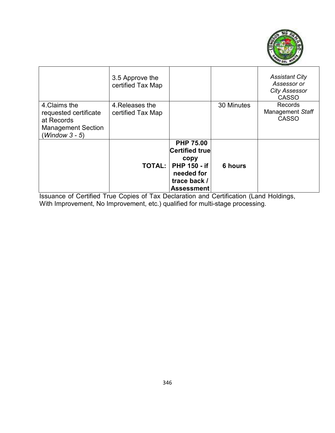

|                                        | 3.5 Approve the<br>certified Tax Map |                       |            | <b>Assistant City</b><br>Assessor or<br><b>City Assessor</b><br><b>CASSO</b> |
|----------------------------------------|--------------------------------------|-----------------------|------------|------------------------------------------------------------------------------|
| 4. Claims the<br>requested certificate | 4. Releases the<br>certified Tax Map |                       | 30 Minutes | Records<br>Management Staff                                                  |
| at Records                             |                                      |                       |            | <b>CASSO</b>                                                                 |
| <b>Management Section</b>              |                                      |                       |            |                                                                              |
| $(Window 3 - 5)$                       |                                      |                       |            |                                                                              |
|                                        |                                      | <b>PHP 75.00</b>      |            |                                                                              |
|                                        |                                      | <b>Certified true</b> |            |                                                                              |
|                                        |                                      | copy                  |            |                                                                              |
|                                        | <b>TOTAL:</b>                        | <b>PHP 150 - if</b>   | 6 hours    |                                                                              |
|                                        |                                      | needed for            |            |                                                                              |
|                                        |                                      | trace back /          |            |                                                                              |
|                                        |                                      | <b>Assessment</b>     |            |                                                                              |

Issuance of Certified True Copies of Tax Declaration and Certification (Land Holdings, With Improvement, No Improvement, etc.) qualified for multi-stage processing.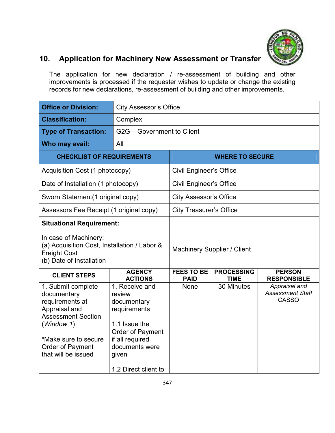

## **10. Application for Machinery New Assessment or Transfer**

The application for new declaration / re-assessment of building and other improvements is processed if the requester wishes to update or change the existing records for new declarations, re-assessment of building and other improvements.

| <b>Office or Division:</b>                                                                                                                                                          |                                                                                                                                                                    | <b>City Assessor's Office</b>    |                                  |                                                          |  |  |
|-------------------------------------------------------------------------------------------------------------------------------------------------------------------------------------|--------------------------------------------------------------------------------------------------------------------------------------------------------------------|----------------------------------|----------------------------------|----------------------------------------------------------|--|--|
| <b>Classification:</b>                                                                                                                                                              | Complex                                                                                                                                                            |                                  |                                  |                                                          |  |  |
| <b>Type of Transaction:</b>                                                                                                                                                         |                                                                                                                                                                    | G2G - Government to Client       |                                  |                                                          |  |  |
| Who may avail:                                                                                                                                                                      | All                                                                                                                                                                |                                  |                                  |                                                          |  |  |
| <b>CHECKLIST OF REQUIREMENTS</b>                                                                                                                                                    |                                                                                                                                                                    | <b>WHERE TO SECURE</b>           |                                  |                                                          |  |  |
| Acquisition Cost (1 photocopy)                                                                                                                                                      |                                                                                                                                                                    | <b>Civil Engineer's Office</b>   |                                  |                                                          |  |  |
| Date of Installation (1 photocopy)                                                                                                                                                  |                                                                                                                                                                    | <b>Civil Engineer's Office</b>   |                                  |                                                          |  |  |
| Sworn Statement(1 original copy)                                                                                                                                                    |                                                                                                                                                                    | <b>City Assessor's Office</b>    |                                  |                                                          |  |  |
| Assessors Fee Receipt (1 original copy)                                                                                                                                             |                                                                                                                                                                    | <b>City Treasurer's Office</b>   |                                  |                                                          |  |  |
| <b>Situational Requirement:</b>                                                                                                                                                     |                                                                                                                                                                    |                                  |                                  |                                                          |  |  |
| In case of Machinery:<br>(a) Acquisition Cost, Installation / Labor &<br><b>Freight Cost</b><br>(b) Date of Installation                                                            |                                                                                                                                                                    |                                  | Machinery Supplier / Client      |                                                          |  |  |
| <b>CLIENT STEPS</b>                                                                                                                                                                 | <b>AGENCY</b><br><b>ACTIONS</b>                                                                                                                                    | <b>FEES TO BE</b><br><b>PAID</b> | <b>PROCESSING</b><br><b>TIME</b> | <b>PERSON</b><br><b>RESPONSIBLE</b>                      |  |  |
| 1. Submit complete<br>documentary<br>requirements at<br>Appraisal and<br><b>Assessment Section</b><br>(Window 1)<br>*Make sure to secure<br>Order of Payment<br>that will be issued | 1. Receive and<br>review<br>documentary<br>requirements<br>1.1 Issue the<br>Order of Payment<br>if all required<br>documents were<br>given<br>1.2 Direct client to | None                             | 30 Minutes                       | Appraisal and<br><b>Assessment Staff</b><br><b>CASSO</b> |  |  |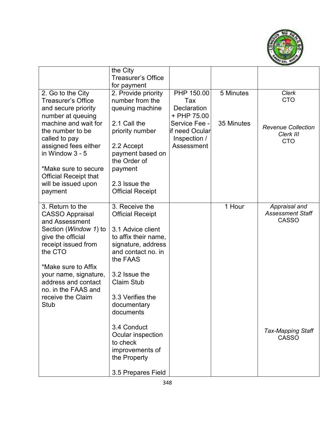

|                                                                                                                                                                                                                                                                                | the City                                                                                                                                                                                                                             |                                                                |            |                                                          |
|--------------------------------------------------------------------------------------------------------------------------------------------------------------------------------------------------------------------------------------------------------------------------------|--------------------------------------------------------------------------------------------------------------------------------------------------------------------------------------------------------------------------------------|----------------------------------------------------------------|------------|----------------------------------------------------------|
|                                                                                                                                                                                                                                                                                | <b>Treasurer's Office</b>                                                                                                                                                                                                            |                                                                |            |                                                          |
|                                                                                                                                                                                                                                                                                | for payment                                                                                                                                                                                                                          |                                                                |            |                                                          |
| 2. Go to the City<br><b>Treasurer's Office</b><br>and secure priority<br>number at queuing                                                                                                                                                                                     | 2. Provide priority<br>number from the<br>queuing machine                                                                                                                                                                            | PHP 150.00<br>Tax<br><b>Declaration</b><br>+ PHP 75.00         | 5 Minutes  | <b>Clerk</b><br><b>CTO</b>                               |
| machine and wait for<br>the number to be<br>called to pay<br>assigned fees either<br>in Window 3 - 5                                                                                                                                                                           | 2.1 Call the<br>priority number<br>2.2 Accept<br>payment based on<br>the Order of                                                                                                                                                    | Service Fee -<br>lif need Ocular<br>Inspection /<br>Assessment | 35 Minutes | <b>Revenue Collection</b><br>Clerk III<br><b>CTO</b>     |
| *Make sure to secure<br><b>Official Receipt that</b><br>will be issued upon<br>payment                                                                                                                                                                                         | payment<br>2.3 Issue the<br><b>Official Receipt</b>                                                                                                                                                                                  |                                                                |            |                                                          |
| 3. Return to the<br><b>CASSO Appraisal</b><br>and Assessment<br>Section (Window 1) to<br>give the official<br>receipt issued from<br>the CTO<br>*Make sure to Affix<br>your name, signature,<br>address and contact<br>no. in the FAAS and<br>receive the Claim<br><b>Stub</b> | 3. Receive the<br><b>Official Receipt</b><br>3.1 Advice client<br>to affix their name,<br>signature, address<br>and contact no. in<br>the FAAS<br>3.2 Issue the<br><b>Claim Stub</b><br>3.3 Verifies the<br>documentary<br>documents |                                                                | 1 Hour     | Appraisal and<br><b>Assessment Staff</b><br><b>CASSO</b> |
|                                                                                                                                                                                                                                                                                | 3.4 Conduct<br>Ocular inspection<br>to check<br>improvements of<br>the Property<br>3.5 Prepares Field                                                                                                                                |                                                                |            | <b>Tax-Mapping Staff</b><br><b>CASSO</b>                 |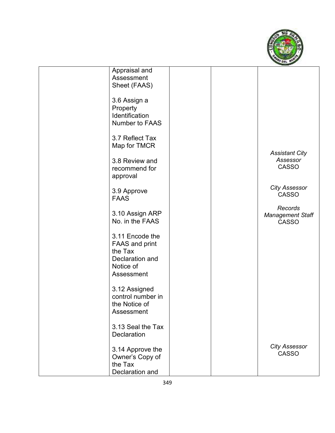

| Appraisal and         |  |                         |
|-----------------------|--|-------------------------|
| Assessment            |  |                         |
| Sheet (FAAS)          |  |                         |
|                       |  |                         |
| 3.6 Assign a          |  |                         |
| Property              |  |                         |
| Identification        |  |                         |
|                       |  |                         |
| Number to FAAS        |  |                         |
|                       |  |                         |
| 3.7 Reflect Tax       |  |                         |
| Map for TMCR          |  |                         |
|                       |  | <b>Assistant City</b>   |
| 3.8 Review and        |  | Assessor                |
| recommend for         |  | <b>CASSO</b>            |
| approval              |  |                         |
|                       |  |                         |
| 3.9 Approve           |  | <b>City Assessor</b>    |
| <b>FAAS</b>           |  | <b>CASSO</b>            |
|                       |  |                         |
| 3.10 Assign ARP       |  | Records                 |
|                       |  | <b>Management Staff</b> |
| No. in the FAAS       |  | <b>CASSO</b>            |
|                       |  |                         |
| 3.11 Encode the       |  |                         |
| <b>FAAS and print</b> |  |                         |
| the Tax               |  |                         |
| Declaration and       |  |                         |
| Notice of             |  |                         |
| Assessment            |  |                         |
|                       |  |                         |
| 3.12 Assigned         |  |                         |
| control number in     |  |                         |
| the Notice of         |  |                         |
| Assessment            |  |                         |
|                       |  |                         |
| 3.13 Seal the Tax     |  |                         |
|                       |  |                         |
| <b>Declaration</b>    |  |                         |
|                       |  | <b>City Assessor</b>    |
| 3.14 Approve the      |  | <b>CASSO</b>            |
| Owner's Copy of       |  |                         |
| the Tax               |  |                         |
| Declaration and       |  |                         |